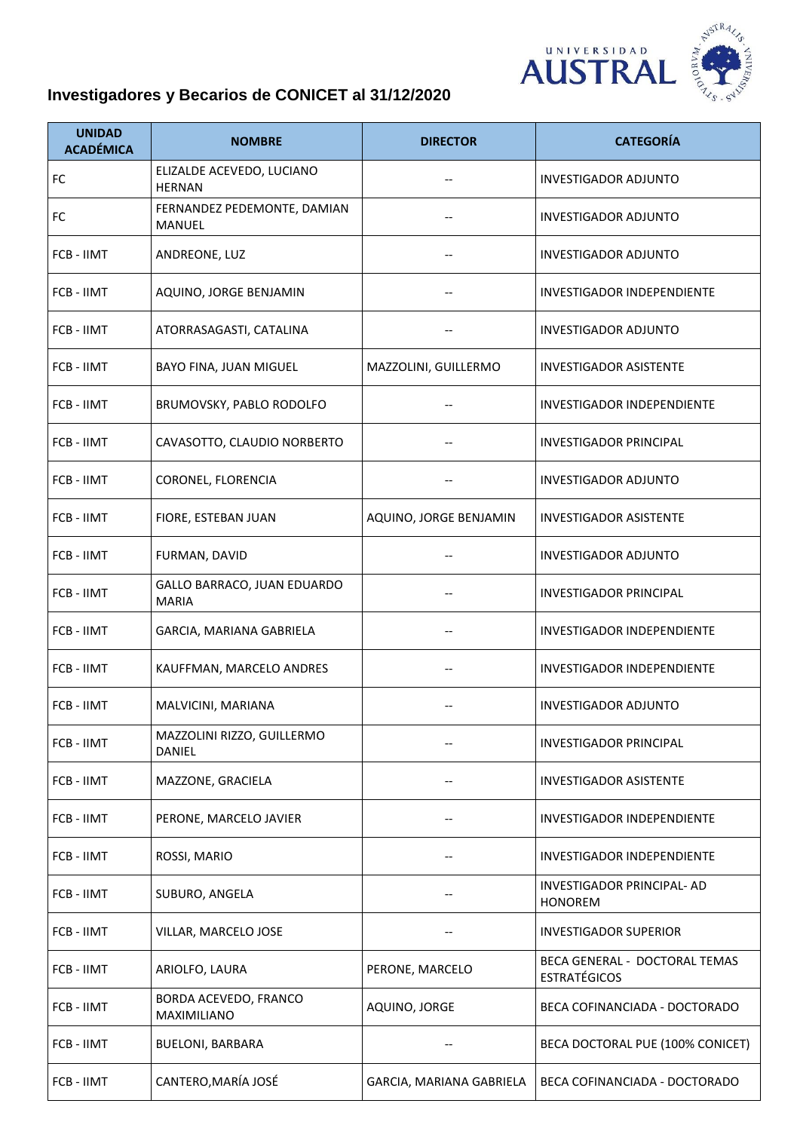

## **Investigadores y Becarios de CONICET al 31/12/2020**

| <b>UNIDAD</b><br><b>ACADÉMICA</b> | <b>NOMBRE</b>                                | <b>DIRECTOR</b>          | <b>CATEGORÍA</b>                                     |
|-----------------------------------|----------------------------------------------|--------------------------|------------------------------------------------------|
| FC                                | ELIZALDE ACEVEDO, LUCIANO<br><b>HERNAN</b>   | --                       | <b>INVESTIGADOR ADJUNTO</b>                          |
| <b>FC</b>                         | FERNANDEZ PEDEMONTE, DAMIAN<br><b>MANUEL</b> |                          | INVESTIGADOR ADJUNTO                                 |
| FCB - IIMT                        | ANDREONE, LUZ                                |                          | <b>INVESTIGADOR ADJUNTO</b>                          |
| FCB - IIMT                        | AQUINO, JORGE BENJAMIN                       |                          | <b>INVESTIGADOR INDEPENDIENTE</b>                    |
| FCB - IIMT                        | ATORRASAGASTI, CATALINA                      |                          | INVESTIGADOR ADJUNTO                                 |
| FCB - IIMT                        | BAYO FINA, JUAN MIGUEL                       | MAZZOLINI, GUILLERMO     | <b>INVESTIGADOR ASISTENTE</b>                        |
| FCB - IIMT                        | BRUMOVSKY, PABLO RODOLFO                     |                          | <b>INVESTIGADOR INDEPENDIENTE</b>                    |
| FCB - IIMT                        | CAVASOTTO, CLAUDIO NORBERTO                  |                          | <b>INVESTIGADOR PRINCIPAL</b>                        |
| FCB - IIMT                        | CORONEL, FLORENCIA                           |                          | <b>INVESTIGADOR ADJUNTO</b>                          |
| FCB - IIMT                        | FIORE, ESTEBAN JUAN                          | AQUINO, JORGE BENJAMIN   | <b>INVESTIGADOR ASISTENTE</b>                        |
| FCB - IIMT                        | FURMAN, DAVID                                | $\qquad \qquad -$        | <b>INVESTIGADOR ADJUNTO</b>                          |
| FCB - IIMT                        | GALLO BARRACO, JUAN EDUARDO<br><b>MARIA</b>  | --                       | <b>INVESTIGADOR PRINCIPAL</b>                        |
| FCB - IIMT                        | GARCIA, MARIANA GABRIELA                     |                          | <b>INVESTIGADOR INDEPENDIENTE</b>                    |
| FCB - IIMT                        | KAUFFMAN, MARCELO ANDRES                     | --                       | <b>INVESTIGADOR INDEPENDIENTE</b>                    |
| FCB - IIMT                        | MALVICINI, MARIANA                           |                          | <b>INVESTIGADOR ADJUNTO</b>                          |
| FCB - IIMT                        | MAZZOLINI RIZZO, GUILLERMO<br>DANIEL         |                          | <b>INVESTIGADOR PRINCIPAL</b>                        |
| FCB - IIMT                        | MAZZONE, GRACIELA                            | --                       | <b>INVESTIGADOR ASISTENTE</b>                        |
| FCB - IIMT                        | PERONE, MARCELO JAVIER                       |                          | INVESTIGADOR INDEPENDIENTE                           |
| FCB - IIMT                        | ROSSI, MARIO                                 |                          | <b>INVESTIGADOR INDEPENDIENTE</b>                    |
| FCB - IIMT                        | SUBURO, ANGELA                               | --                       | INVESTIGADOR PRINCIPAL- AD<br><b>HONOREM</b>         |
| FCB - IIMT                        | VILLAR, MARCELO JOSE                         |                          | <b>INVESTIGADOR SUPERIOR</b>                         |
| FCB - IIMT                        | ARIOLFO, LAURA                               | PERONE, MARCELO          | BECA GENERAL - DOCTORAL TEMAS<br><b>ESTRATÉGICOS</b> |
| FCB - IIMT                        | BORDA ACEVEDO, FRANCO<br>MAXIMILIANO         | AQUINO, JORGE            | BECA COFINANCIADA - DOCTORADO                        |
| FCB - IIMT                        | <b>BUELONI, BARBARA</b>                      |                          | BECA DOCTORAL PUE (100% CONICET)                     |
| FCB - IIMT                        | CANTERO, MARÍA JOSÉ                          | GARCIA, MARIANA GABRIELA | BECA COFINANCIADA - DOCTORADO                        |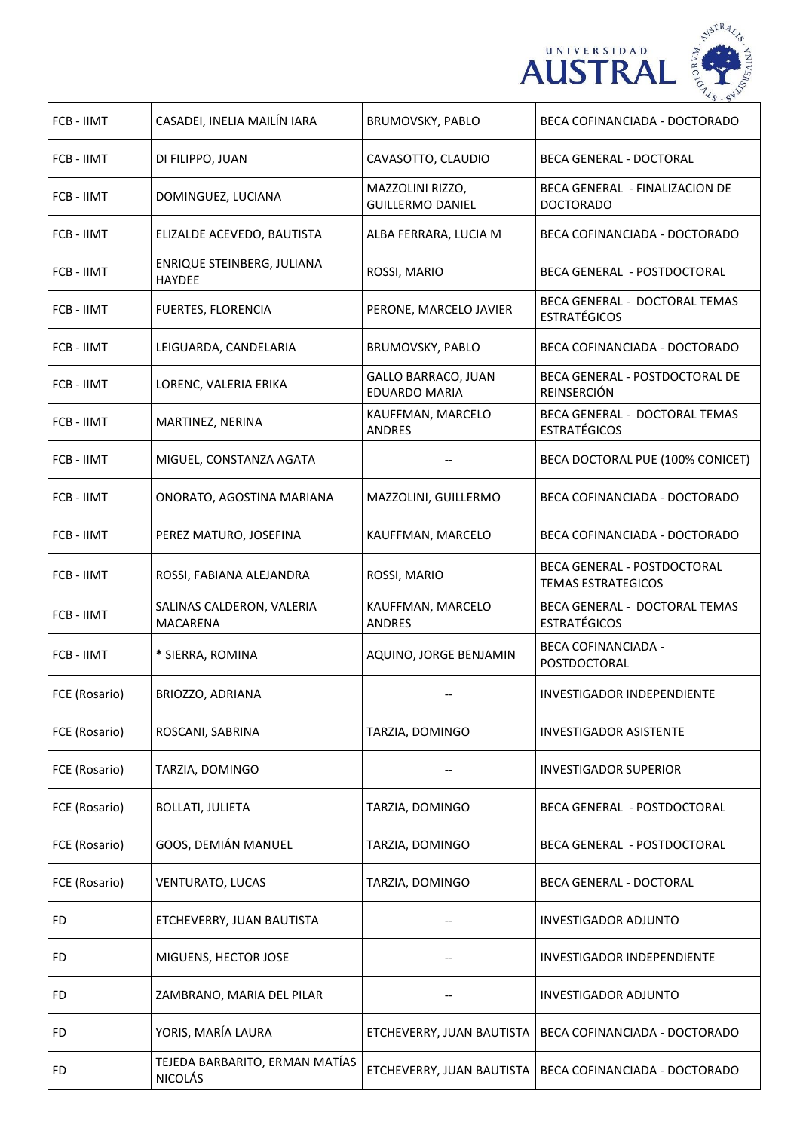



| FCB - IIMT    | CASADEI, INELIA MAILÍN IARA                      | BRUMOVSKY, PABLO                            | BECA COFINANCIADA - DOCTORADO                             |
|---------------|--------------------------------------------------|---------------------------------------------|-----------------------------------------------------------|
| FCB - IIMT    | DI FILIPPO, JUAN                                 | CAVASOTTO, CLAUDIO                          | BECA GENERAL - DOCTORAL                                   |
| FCB - IIMT    | DOMINGUEZ, LUCIANA                               | MAZZOLINI RIZZO,<br><b>GUILLERMO DANIEL</b> | <b>BECA GENERAL - FINALIZACION DE</b><br><b>DOCTORADO</b> |
| FCB - IIMT    | ELIZALDE ACEVEDO, BAUTISTA                       | ALBA FERRARA, LUCIA M                       | BECA COFINANCIADA - DOCTORADO                             |
| FCB - IIMT    | ENRIQUE STEINBERG, JULIANA<br><b>HAYDEE</b>      | ROSSI, MARIO                                | BECA GENERAL - POSTDOCTORAL                               |
| FCB - IIMT    | <b>FUERTES, FLORENCIA</b>                        | PERONE, MARCELO JAVIER                      | BECA GENERAL - DOCTORAL TEMAS<br><b>ESTRATÉGICOS</b>      |
| FCB - IIMT    | LEIGUARDA, CANDELARIA                            | BRUMOVSKY, PABLO                            | BECA COFINANCIADA - DOCTORADO                             |
| FCB - IIMT    | LORENC, VALERIA ERIKA                            | <b>GALLO BARRACO, JUAN</b><br>EDUARDO MARIA | BECA GENERAL - POSTDOCTORAL DE<br>REINSERCIÓN             |
| FCB - IIMT    | MARTINEZ, NERINA                                 | KAUFFMAN, MARCELO<br><b>ANDRES</b>          | BECA GENERAL - DOCTORAL TEMAS<br><b>ESTRATÉGICOS</b>      |
| FCB - IIMT    | MIGUEL, CONSTANZA AGATA                          |                                             | BECA DOCTORAL PUE (100% CONICET)                          |
| FCB - IIMT    | ONORATO, AGOSTINA MARIANA                        | MAZZOLINI, GUILLERMO                        | BECA COFINANCIADA - DOCTORADO                             |
| FCB - IIMT    | PEREZ MATURO, JOSEFINA                           | KAUFFMAN, MARCELO                           | BECA COFINANCIADA - DOCTORADO                             |
| FCB - IIMT    | ROSSI, FABIANA ALEJANDRA                         | ROSSI, MARIO                                | BECA GENERAL - POSTDOCTORAL<br><b>TEMAS ESTRATEGICOS</b>  |
| FCB - IIMT    | SALINAS CALDERON, VALERIA<br><b>MACARENA</b>     | KAUFFMAN, MARCELO<br><b>ANDRES</b>          | BECA GENERAL - DOCTORAL TEMAS<br><b>ESTRATÉGICOS</b>      |
| FCB - IIMT    | * SIERRA, ROMINA                                 | AQUINO, JORGE BENJAMIN                      | <b>BECA COFINANCIADA -</b><br>POSTDOCTORAL                |
| FCE (Rosario) | BRIOZZO, ADRIANA                                 |                                             | INVESTIGADOR INDEPENDIENTE                                |
| FCE (Rosario) | ROSCANI, SABRINA                                 | TARZIA, DOMINGO                             | INVESTIGADOR ASISTENTE                                    |
| FCE (Rosario) | TARZIA, DOMINGO                                  |                                             | INVESTIGADOR SUPERIOR                                     |
| FCE (Rosario) | <b>BOLLATI, JULIETA</b>                          | TARZIA, DOMINGO                             | BECA GENERAL - POSTDOCTORAL                               |
| FCE (Rosario) | GOOS, DEMIÁN MANUEL                              | TARZIA, DOMINGO                             | BECA GENERAL  - POSTDOCTORAL                              |
| FCE (Rosario) | VENTURATO, LUCAS                                 | TARZIA, DOMINGO                             | <b>BECA GENERAL - DOCTORAL</b>                            |
| FD            | ETCHEVERRY, JUAN BAUTISTA                        |                                             | <b>INVESTIGADOR ADJUNTO</b>                               |
| FD            | MIGUENS, HECTOR JOSE                             |                                             | INVESTIGADOR INDEPENDIENTE                                |
| FD            | ZAMBRANO, MARIA DEL PILAR                        |                                             | INVESTIGADOR ADJUNTO                                      |
| FD            | YORIS, MARÍA LAURA                               | ETCHEVERRY, JUAN BAUTISTA                   | BECA COFINANCIADA - DOCTORADO                             |
| FD            | TEJEDA BARBARITO, ERMAN MATÍAS<br><b>NICOLÁS</b> | ETCHEVERRY, JUAN BAUTISTA                   | BECA COFINANCIADA - DOCTORADO                             |